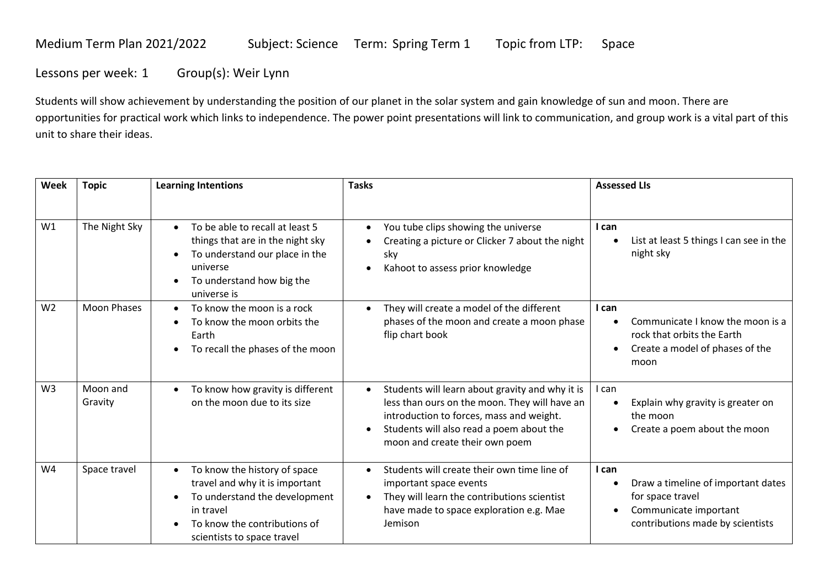## Medium Term Plan 2021/2022 Subject: Science Term: Spring Term 1 Topic from LTP: Space

Lessons per week: 1 Group(s): Weir Lynn

Students will show achievement by understanding the position of our planet in the solar system and gain knowledge of sun and moon. There are opportunities for practical work which links to independence. The power point presentations will link to communication, and group work is a vital part of this unit to share their ideas.

| Week           | <b>Topic</b>        | <b>Learning Intentions</b>                                                                                                                                                              | <b>Tasks</b>                                                                                                                                                                                                               | <b>Assessed LIs</b>                                                                                                          |
|----------------|---------------------|-----------------------------------------------------------------------------------------------------------------------------------------------------------------------------------------|----------------------------------------------------------------------------------------------------------------------------------------------------------------------------------------------------------------------------|------------------------------------------------------------------------------------------------------------------------------|
|                |                     |                                                                                                                                                                                         |                                                                                                                                                                                                                            |                                                                                                                              |
| W1             | The Night Sky       | To be able to recall at least 5<br>$\bullet$<br>things that are in the night sky<br>To understand our place in the<br>universe<br>To understand how big the<br>universe is              | You tube clips showing the universe<br>$\bullet$<br>Creating a picture or Clicker 7 about the night<br>sky<br>Kahoot to assess prior knowledge<br>$\bullet$                                                                | I can<br>List at least 5 things I can see in the<br>night sky                                                                |
| W <sub>2</sub> | <b>Moon Phases</b>  | To know the moon is a rock<br>To know the moon orbits the<br>Earth<br>To recall the phases of the moon                                                                                  | They will create a model of the different<br>phases of the moon and create a moon phase<br>flip chart book                                                                                                                 | I can<br>Communicate I know the moon is a<br>rock that orbits the Earth<br>Create a model of phases of the<br>moon           |
| W <sub>3</sub> | Moon and<br>Gravity | To know how gravity is different<br>on the moon due to its size                                                                                                                         | Students will learn about gravity and why it is<br>less than ours on the moon. They will have an<br>introduction to forces, mass and weight.<br>Students will also read a poem about the<br>moon and create their own poem | I can<br>Explain why gravity is greater on<br>the moon<br>Create a poem about the moon<br>$\bullet$                          |
| W4             | Space travel        | To know the history of space<br>$\bullet$<br>travel and why it is important<br>To understand the development<br>in travel<br>To know the contributions of<br>scientists to space travel | Students will create their own time line of<br>important space events<br>They will learn the contributions scientist<br>$\bullet$<br>have made to space exploration e.g. Mae<br>Jemison                                    | I can<br>Draw a timeline of important dates<br>for space travel<br>Communicate important<br>contributions made by scientists |